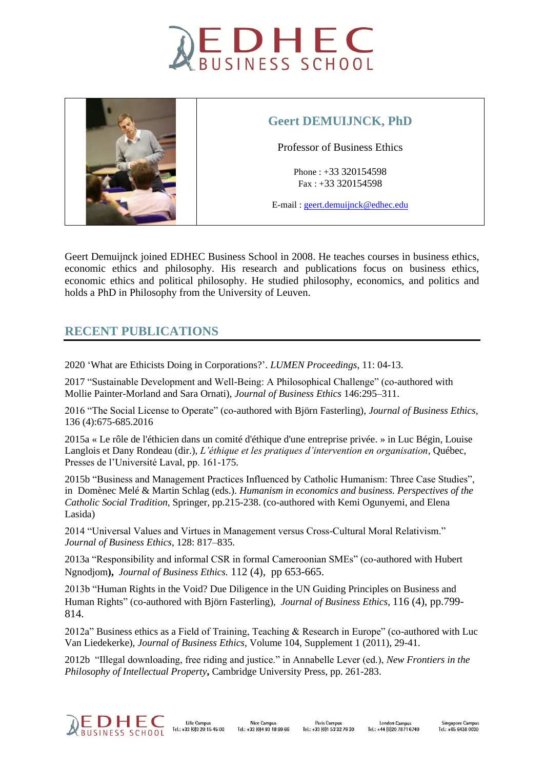



## **Geert DEMUIJNCK, PhD**

Professor of Business Ethics

Phone : +33 320154598 Fax : +33 320154598

E-mail : [geert.demuijnck@edhec.edu](mailto:geert.demuijnck@edhec.edu)

Geert Demuijnck joined EDHEC Business School in 2008. He teaches courses in business ethics, economic ethics and philosophy. His research and publications focus on business ethics, economic ethics and political philosophy. He studied philosophy, economics, and politics and holds a PhD in Philosophy from the University of Leuven.

# **RECENT PUBLICATIONS**

2020 'What are Ethicists Doing in Corporations?'. *LUMEN Proceedings*, 11: 04-13.

2017 "Sustainable Development and Well-Being: A Philosophical Challenge" (co-authored with Mollie Painter-Morland and Sara Ornati), *Journal of Business Ethics* 146:295–311.

2016 "The Social License to Operate" (co-authored with Björn Fasterling), *Journal of Business Ethics*, 136 (4):675-685.2016

2015a « Le rôle de l'éthicien dans un comité d'éthique d'une entreprise privée. » in Luc Bégin, Louise Langlois et Dany Rondeau (dir.), *L'éthique et les pratiques d'intervention en organisation*, Québec, Presses de l'Université Laval, pp. 161-175.

2015b "Business and Management Practices Influenced by Catholic Humanism: Three Case Studies", in Domènec Melé & Martin Schlag (eds.). *Humanism in economics and business. Perspectives of the Catholic Social Tradition*, Springer, pp.215-238. (co-authored with Kemi Ogunyemi, and Elena Lasida)

2014 "Universal Values and Virtues in Management versus Cross-Cultural Moral Relativism." *Journal of Business Ethics*, 128: 817–835.

2013a "Responsibility and informal CSR in formal Cameroonian SMEs" (co-authored with Hubert Ngnodjom**),** *Journal of Business Ethics.* 112 (4), pp 653-665.

2013b "Human Rights in the Void? Due Diligence in the UN Guiding Principles on Business and Human Rights" (co-authored with Björn Fasterling), *Journal of Business Ethics*, 116 (4), pp.799- 814.

2012a" Business ethics as a Field of Training, Teaching & Research in Europe" (co-authored with Luc Van Liedekerke), *Journal of Business Ethics,* Volume 104, Supplement 1 (2011), 29-41.

2012b "Illegal downloading, free riding and justice." in Annabelle Lever (ed.), *New Frontiers in the Philosophy of Intellectual Property*, Cambridge University Press, pp. 261-283.



**Lille Campu** Nice Campus Tel.: +33 (0)3 20 15 45 00  $Tel + 33 (0)4.93 18.99.66$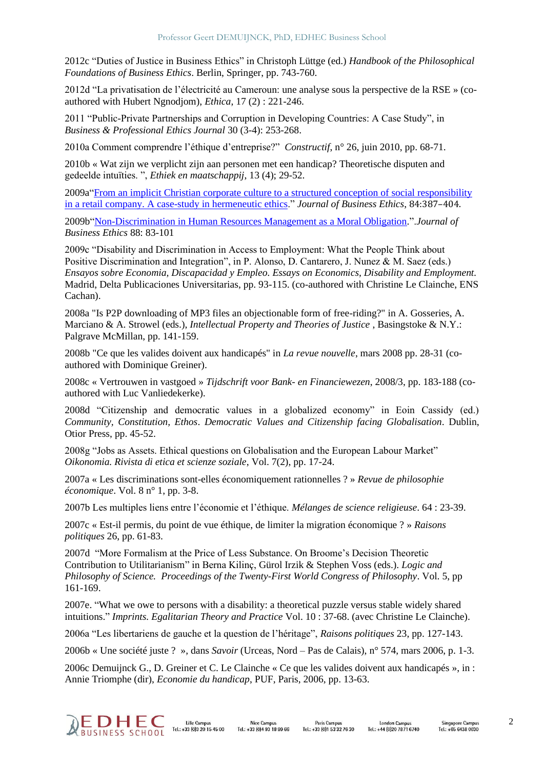2012c "Duties of Justice in Business Ethics" in Christoph Lüttge (ed.) *Handbook of the Philosophical Foundations of Business Ethics*. Berlin, Springer, pp. 743-760.

2012d "La privatisation de l'électricité au Cameroun: une analyse sous la perspective de la RSE » (coauthored with Hubert Ngnodjom), *Ethica*, 17 (2) : 221-246.

2011 "Public-Private Partnerships and Corruption in Developing Countries: A Case Study", in *Business & Professional Ethics Journal* 30 (3-4): 253-268.

2010a Comment comprendre l'éthique d'entreprise?" *Constructif*, n° 26, juin 2010, pp. 68-71.

2010b « Wat zijn we verplicht zijn aan personen met een handicap? Theoretische disputen and gedeelde intuïties. ", *Ethiek en maatschappij*, 13 (4); 29-52.

2009a["From an implicit Christian corporate culture to a structured conception of social responsibility](http://www.springerlink.com/content/t758004460440k2u/?p=81cd296017194c1485b2919d13a3cd3b&pi=0)  [in a retail company. A case-study in hermeneutic ethics.](http://www.springerlink.com/content/t758004460440k2u/?p=81cd296017194c1485b2919d13a3cd3b&pi=0)" *Journal of Business Ethics*, 84:387–404.

2009b["Non-Discrimination in Human Resources Management as a Moral Obligation.](http://www.springerlink.com/content/w6pu1568243658j7/?p=81cd296017194c1485b2919d13a3cd3b&pi=2)".*Journal of Business Ethics* 88: 83-101

2009c "Disability and Discrimination in Access to Employment: What the People Think about Positive Discrimination and Integration", in P. Alonso, D. Cantarero, J. Nunez & M. Saez (eds.) *Ensayos sobre Economia, Discapacidad y Empleo. Essays on Economics, Disability and Employment.* Madrid, Delta Publicaciones Universitarias, pp. 93-115. (co-authored with Christine Le Clainche, ENS Cachan).

2008a "Is P2P downloading of MP3 files an objectionable form of free-riding?" in A. Gosseries, A. Marciano & A. Strowel (eds.), *Intellectual Property and Theories of Justice* , Basingstoke & N.Y.: Palgrave McMillan, pp. 141-159.

2008b "Ce que les valides doivent aux handicapés" in *La revue nouvelle*, mars 2008 pp. 28-31 (coauthored with Dominique Greiner).

2008c « Vertrouwen in vastgoed » *Tijdschrift voor Bank- en Financiewezen*, 2008/3, pp. 183-188 (coauthored with Luc Vanliedekerke).

2008d "Citizenship and democratic values in a globalized economy" in Eoin Cassidy (ed.) *Community, Constitution, Ethos*. *Democratic Values and Citizenship facing Globalisation*. Dublin, Otior Press, pp. 45-52.

2008g "Jobs as Assets. Ethical questions on Globalisation and the European Labour Market" *Oikonomia. Rivista di etica et scienze soziale*, Vol. 7(2), pp. 17-24.

2007a « Les discriminations sont-elles économiquement rationnelles ? » *Revue de philosophie économique*. Vol. 8 n° 1, pp. 3-8.

2007b Les multiples liens entre l'économie et l'éthique. *Mélanges de science religieuse*. 64 : 23-39.

2007c « Est-il permis, du point de vue éthique, de limiter la migration économique ? » *Raisons politiques* 26, pp. 61-83.

2007d "More Formalism at the Price of Less Substance. On Broome's Decision Theoretic Contribution to Utilitarianism" in Berna Kilinç, Gürol Irzik & Stephen Voss (eds.). *Logic and Philosophy of Science. Proceedings of the Twenty-First World Congress of Philosophy*. Vol. 5, pp 161-169.

2007e. "What we owe to persons with a disability: a theoretical puzzle versus stable widely shared intuitions." *Imprints. Egalitarian Theory and Practice* Vol. 10 : 37-68. (avec Christine Le Clainche).

2006a "Les libertariens de gauche et la question de l'héritage", *Raisons politiques* 23, pp. 127-143.

2006b « Une société juste ? », dans *Savoir* (Urceas, Nord – Pas de Calais), n° 574, mars 2006, p. 1-3.

2006c Demuijnck G., D. Greiner et C. Le Clainche « Ce que les valides doivent aux handicapés », in : Annie Triomphe (dir), *Economie du handicap*, PUF, Paris, 2006, pp. 13-63.

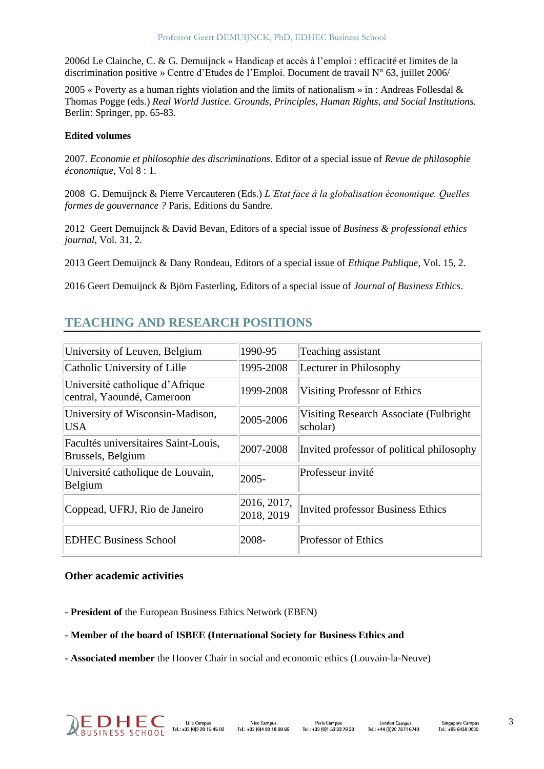2006d Le Clainche, C. & G. Demuijnck « Handicap et accès à l'emploi : efficacité et limites de la discrimination positive » Centre d'Etudes de l'Emploi. Document de travail N° 63, juillet 2006/

2005 « Poverty as a human rights violation and the limits of nationalism » in : Andreas Follesdal & Thomas Pogge (eds.) *Real World Justice. Grounds, Principles, Human Rights, and Social Institutions.*  Berlin: Springer, pp. 65-83.

#### **Edited volumes**

2007. *Economie et philosophie des discriminations*. Editor of a special issue of *Revue de philosophie économique*, Vol 8 : 1.

2008 G. Demuijnck & Pierre Vercauteren (Eds.) *L'Etat face à la globalisation économique. Quelles formes de gouvernance ?* Paris, Editions du Sandre.

2012 Geert Demuijnck & David Bevan, Editors of a special issue of *Business & professional ethics journal*, Vol. 31, 2.

2013 Geert Demuijnck & Dany Rondeau, Editors of a special issue of *Ethique Publique*, Vol. 15, 2.

2016 Geert Demuijnck & Björn Fasterling, Editors of a special issue of *Journal of Business Ethics*.

# **TEACHING AND RESEARCH POSITIONS**

| University of Leuven, Belgium                                 | 1990-95                   | Teaching assistant                                  |
|---------------------------------------------------------------|---------------------------|-----------------------------------------------------|
| Catholic University of Lille                                  | 1995-2008                 | Lecturer in Philosophy                              |
| Université catholique d'Afrique<br>central, Yaoundé, Cameroon | 1999-2008                 | Visiting Professor of Ethics                        |
| University of Wisconsin-Madison,<br><b>USA</b>                | 2005-2006                 | Visiting Research Associate (Fulbright)<br>scholar) |
| Facultés universitaires Saint-Louis,<br>Brussels, Belgium     | 2007-2008                 | Invited professor of political philosophy           |
| Université catholique de Louvain,<br>Belgium                  | $ 2005 -$                 | Professeur invité                                   |
| Coppead, UFRJ, Rio de Janeiro                                 | 2016, 2017,<br>2018, 2019 | Invited professor Business Ethics                   |
| <b>EDHEC Business School</b>                                  | 2008-                     | <b>Professor of Ethics</b>                          |

#### **Other academic activities**

**- President of** the European Business Ethics Network (EBEN)

- **- Member of the board of ISBEE (International Society for Business Ethics and**
- **- Associated member** the Hoover Chair in social and economic ethics (Louvain-la-Neuve)